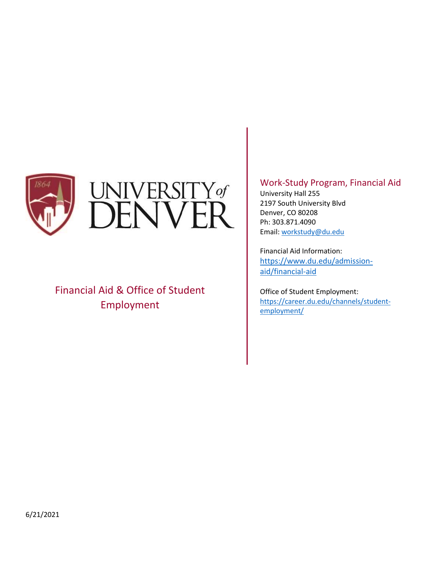

# Financial Aid & Office of Student Employment

# Work-Study Program, Financial Aid

University Hall 255 2197 South University Blvd Denver, CO 80208 Ph: 303.871.4090 Email: [workstudy@du.edu](mailto:workstudy@du.edu)

Financial Aid Information: [https://www.du.edu/admission](https://www.du.edu/admission-aid/financial-aid)[aid/financial-aid](https://www.du.edu/admission-aid/financial-aid)

Office of Student Employment: [https://career.du.edu/channels/student](https://career.du.edu/channels/student-employment/)[employment/](https://career.du.edu/channels/student-employment/)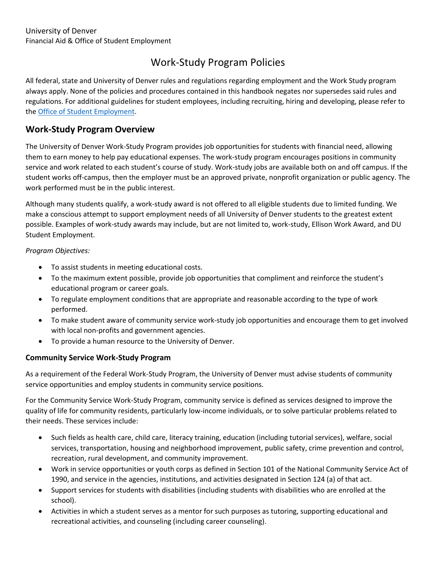# Work-Study Program Policies

All federal, state and University of Denver rules and regulations regarding employment and the Work Study program always apply. None of the policies and procedures contained in this handbook negates nor supersedes said rules and regulations. For additional guidelines for student employees, including recruiting, hiring and developing, please refer to the [Office of Student Employment.](https://career.du.edu/channels/campus-employers/)

# **Work-Study Program Overview**

The University of Denver Work-Study Program provides job opportunities for students with financial need, allowing them to earn money to help pay educational expenses. The work-study program encourages positions in community service and work related to each student's course of study. Work-study jobs are available both on and off campus. If the student works off-campus, then the employer must be an approved private, nonprofit organization or public agency. The work performed must be in the public interest.

Although many students qualify, a work-study award is not offered to all eligible students due to limited funding. We make a conscious attempt to support employment needs of all University of Denver students to the greatest extent possible. Examples of work-study awards may include, but are not limited to, work-study, Ellison Work Award, and DU Student Employment.

### *Program Objectives:*

- To assist students in meeting educational costs.
- To the maximum extent possible, provide job opportunities that compliment and reinforce the student's educational program or career goals.
- To regulate employment conditions that are appropriate and reasonable according to the type of work performed.
- To make student aware of community service work-study job opportunities and encourage them to get involved with local non-profits and government agencies.
- To provide a human resource to the University of Denver.

## **Community Service Work-Study Program**

As a requirement of the Federal Work-Study Program, the University of Denver must advise students of community service opportunities and employ students in community service positions.

For the Community Service Work-Study Program, community service is defined as services designed to improve the quality of life for community residents, particularly low-income individuals, or to solve particular problems related to their needs. These services include:

- Such fields as health care, child care, literacy training, education (including tutorial services), welfare, social services, transportation, housing and neighborhood improvement, public safety, crime prevention and control, recreation, rural development, and community improvement.
- Work in service opportunities or youth corps as defined in Section 101 of the National Community Service Act of 1990, and service in the agencies, institutions, and activities designated in Section 124 (a) of that act.
- Support services for students with disabilities (including students with disabilities who are enrolled at the school).
- Activities in which a student serves as a mentor for such purposes as tutoring, supporting educational and recreational activities, and counseling (including career counseling).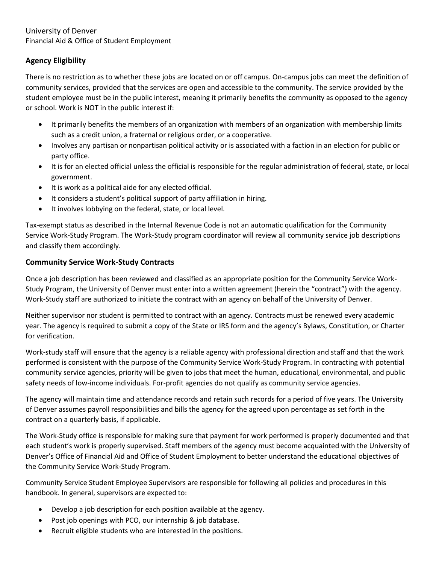### University of Denver Financial Aid & Office of Student Employment

# **Agency Eligibility**

There is no restriction as to whether these jobs are located on or off campus. On-campus jobs can meet the definition of community services, provided that the services are open and accessible to the community. The service provided by the student employee must be in the public interest, meaning it primarily benefits the community as opposed to the agency or school. Work is NOT in the public interest if:

- It primarily benefits the members of an organization with members of an organization with membership limits such as a credit union, a fraternal or religious order, or a cooperative.
- Involves any partisan or nonpartisan political activity or is associated with a faction in an election for public or party office.
- It is for an elected official unless the official is responsible for the regular administration of federal, state, or local government.
- It is work as a political aide for any elected official.
- It considers a student's political support of party affiliation in hiring.
- It involves lobbying on the federal, state, or local level.

Tax-exempt status as described in the Internal Revenue Code is not an automatic qualification for the Community Service Work-Study Program. The Work-Study program coordinator will review all community service job descriptions and classify them accordingly.

# **Community Service Work-Study Contracts**

Once a job description has been reviewed and classified as an appropriate position for the Community Service Work-Study Program, the University of Denver must enter into a written agreement (herein the "contract") with the agency. Work-Study staff are authorized to initiate the contract with an agency on behalf of the University of Denver.

Neither supervisor nor student is permitted to contract with an agency. Contracts must be renewed every academic year. The agency is required to submit a copy of the State or IRS form and the agency's Bylaws, Constitution, or Charter for verification.

Work-study staff will ensure that the agency is a reliable agency with professional direction and staff and that the work performed is consistent with the purpose of the Community Service Work-Study Program. In contracting with potential community service agencies, priority will be given to jobs that meet the human, educational, environmental, and public safety needs of low-income individuals. For-profit agencies do not qualify as community service agencies.

The agency will maintain time and attendance records and retain such records for a period of five years. The University of Denver assumes payroll responsibilities and bills the agency for the agreed upon percentage as set forth in the contract on a quarterly basis, if applicable.

The Work-Study office is responsible for making sure that payment for work performed is properly documented and that each student's work is properly supervised. Staff members of the agency must become acquainted with the University of Denver's Office of Financial Aid and Office of Student Employment to better understand the educational objectives of the Community Service Work-Study Program.

Community Service Student Employee Supervisors are responsible for following all policies and procedures in this handbook. In general, supervisors are expected to:

- Develop a job description for each position available at the agency.
- Post job openings with PCO, our internship & job database.
- Recruit eligible students who are interested in the positions.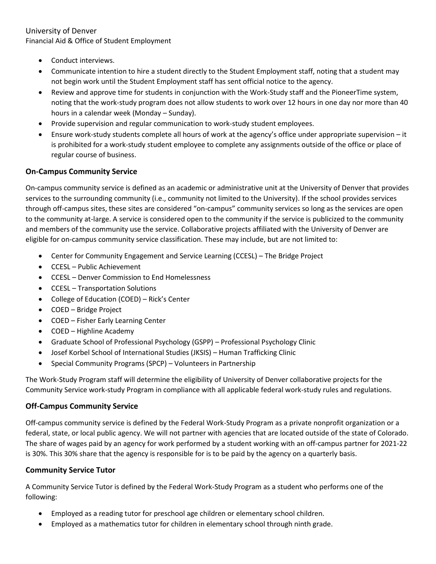#### University of Denver Financial Aid & Office of Student Employment

- Conduct interviews.
- Communicate intention to hire a student directly to the Student Employment staff, noting that a student may not begin work until the Student Employment staff has sent official notice to the agency.
- Review and approve time for students in conjunction with the Work-Study staff and the PioneerTime system, noting that the work-study program does not allow students to work over 12 hours in one day nor more than 40 hours in a calendar week (Monday – Sunday).
- Provide supervision and regular communication to work-study student employees.
- Ensure work-study students complete all hours of work at the agency's office under appropriate supervision it is prohibited for a work-study student employee to complete any assignments outside of the office or place of regular course of business.

## **On-Campus Community Service**

On-campus community service is defined as an academic or administrative unit at the University of Denver that provides services to the surrounding community (i.e., community not limited to the University). If the school provides services through off-campus sites, these sites are considered "on-campus" community services so long as the services are open to the community at-large. A service is considered open to the community if the service is publicized to the community and members of the community use the service. Collaborative projects affiliated with the University of Denver are eligible for on-campus community service classification. These may include, but are not limited to:

- Center for Community Engagement and Service Learning (CCESL) The Bridge Project
- CCESL Public Achievement
- CCESL Denver Commission to End Homelessness
- CCESL Transportation Solutions
- College of Education (COED) Rick's Center
- COED Bridge Project
- COED Fisher Early Learning Center
- COED Highline Academy
- Graduate School of Professional Psychology (GSPP) Professional Psychology Clinic
- Josef Korbel School of International Studies (JKSIS) Human Trafficking Clinic
- Special Community Programs (SPCP) Volunteers in Partnership

The Work-Study Program staff will determine the eligibility of University of Denver collaborative projects for the Community Service work-study Program in compliance with all applicable federal work-study rules and regulations.

#### **Off-Campus Community Service**

Off-campus community service is defined by the Federal Work-Study Program as a private nonprofit organization or a federal, state, or local public agency. We will not partner with agencies that are located outside of the state of Colorado. The share of wages paid by an agency for work performed by a student working with an off-campus partner for 2021-22 is 30%. This 30% share that the agency is responsible for is to be paid by the agency on a quarterly basis.

## **Community Service Tutor**

A Community Service Tutor is defined by the Federal Work-Study Program as a student who performs one of the following:

- Employed as a reading tutor for preschool age children or elementary school children.
- Employed as a mathematics tutor for children in elementary school through ninth grade.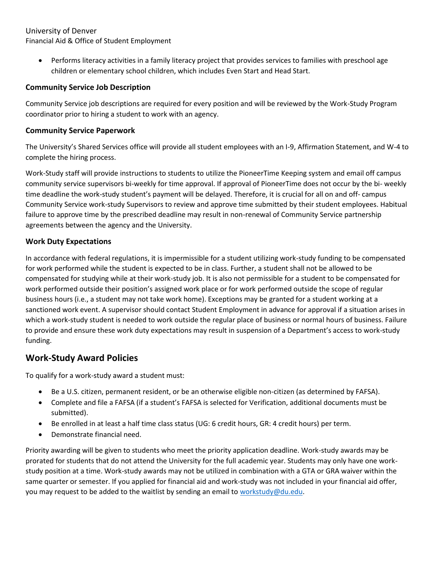### University of Denver

Financial Aid & Office of Student Employment

 Performs literacy activities in a family literacy project that provides services to families with preschool age children or elementary school children, which includes Even Start and Head Start.

#### **Community Service Job Description**

Community Service job descriptions are required for every position and will be reviewed by the Work-Study Program coordinator prior to hiring a student to work with an agency.

### **Community Service Paperwork**

The University's Shared Services office will provide all student employees with an I-9, Affirmation Statement, and W-4 to complete the hiring process.

Work-Study staff will provide instructions to students to utilize the PioneerTime Keeping system and email off campus community service supervisors bi-weekly for time approval. If approval of PioneerTime does not occur by the bi- weekly time deadline the work-study student's payment will be delayed. Therefore, it is crucial for all on and off- campus Community Service work-study Supervisors to review and approve time submitted by their student employees. Habitual failure to approve time by the prescribed deadline may result in non-renewal of Community Service partnership agreements between the agency and the University.

### **Work Duty Expectations**

In accordance with federal regulations, it is impermissible for a student utilizing work-study funding to be compensated for work performed while the student is expected to be in class. Further, a student shall not be allowed to be compensated for studying while at their work-study job. It is also not permissible for a student to be compensated for work performed outside their position's assigned work place or for work performed outside the scope of regular business hours (i.e., a student may not take work home). Exceptions may be granted for a student working at a sanctioned work event. A supervisor should contact Student Employment in advance for approval if a situation arises in which a work-study student is needed to work outside the regular place of business or normal hours of business. Failure to provide and ensure these work duty expectations may result in suspension of a Department's access to work-study funding.

# **Work-Study Award Policies**

To qualify for a work-study award a student must:

- Be a U.S. citizen, permanent resident, or be an otherwise eligible non-citizen (as determined by FAFSA).
- Complete and file a FAFSA (if a student's FAFSA is selected for Verification, additional documents must be submitted).
- Be enrolled in at least a half time class status (UG: 6 credit hours, GR: 4 credit hours) per term.
- Demonstrate financial need.

Priority awarding will be given to students who meet the priority application deadline. Work-study awards may be prorated for students that do not attend the University for the full academic year. Students may only have one workstudy position at a time. Work-study awards may not be utilized in combination with a GTA or GRA waiver within the same quarter or semester. If you applied for financial aid and work-study was not included in your financial aid offer, you may request to be added to the waitlist by sending an email to [workstudy@du.edu.](mailto:workstudy@du.edu)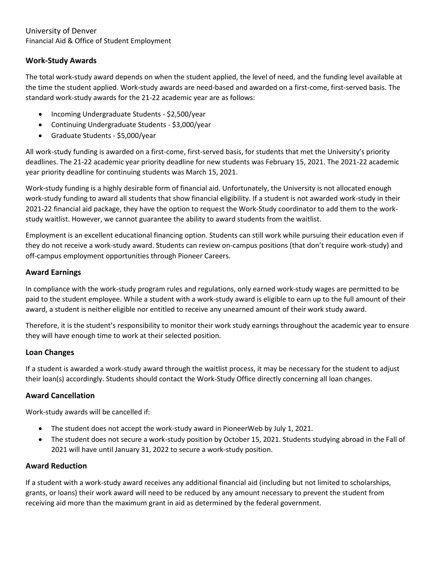### **Work-Study Awards**

The total work-study award depends on when the student applied, the level of need, and the funding level available at the time the student applied. Work-study awards are need-based and awarded on a first-come, first-served basis. The standard work-study awards for the 21-22 academic year are as follows:

- Incoming Undergraduate Students \$2,500/year
- Continuing Undergraduate Students \$3,000/year
- Graduate Students \$5,000/year

All work-study funding is awarded on a first-come, first-served basis, for students that met the University's priority deadlines. The 21-22 academic year priority deadline for new students was February 15, 2021. The 2021-22 academic year priority deadline for continuing students was March 15, 2021.

Work-study funding is a highly desirable form of financial aid. Unfortunately, the University is not allocated enough work-study funding to award all students that show financial eligibility. If a student is not awarded work-study in their 2021-22 financial aid package, they have the option to request the Work-Study coordinator to add them to the workstudy waitlist. However, we cannot guarantee the ability to award students from the waitlist.

Employment is an excellent educational financing option. Students can still work while pursuing their education even if they do not receive a work-study award. Students can review on-campus positions (that don't require work-study) and off-campus employment opportunities through Pioneer Careers.

#### **Award Earnings**

In compliance with the work-study program rules and regulations, only earned work-study wages are permitted to be paid to the student employee. While a student with a work-study award is eligible to earn up to the full amount of their award, a student is neither eligible nor entitled to receive any unearned amount of their work study award.

Therefore, it is the student's responsibility to monitor their work study earnings throughout the academic year to ensure they will have enough time to work at their selected position.

#### **Loan Changes**

If a student is awarded a work-study award through the waitlist process, it may be necessary for the student to adjust their loan(s) accordingly. Students should contact the Work-Study Office directly concerning all loan changes.

#### **Award Cancellation**

Work-study awards will be cancelled if:

- The student does not accept the work-study award in PioneerWeb by July 1, 2021.
- The student does not secure a work-study position by October 15, 2021. Students studying abroad in the Fall of 2021 will have until January 31, 2022 to secure a work-study position.

#### **Award Reduction**

If a student with a work-study award receives any additional financial aid (including but not limited to scholarships, grants, or loans) their work award will need to be reduced by any amount necessary to prevent the student from receiving aid more than the maximum grant in aid as determined by the federal government.